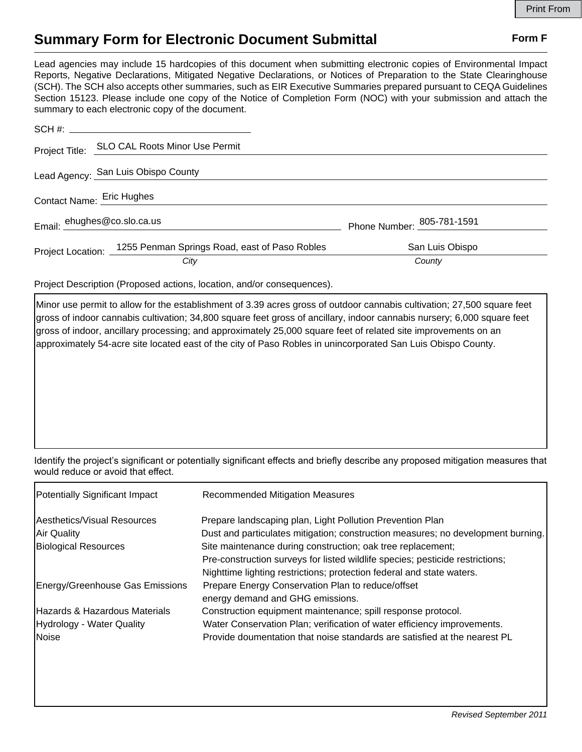## **Summary Form for Electronic Document Submittal Form F Form F**

Lead agencies may include 15 hardcopies of this document when submitting electronic copies of Environmental Impact Reports, Negative Declarations, Mitigated Negative Declarations, or Notices of Preparation to the State Clearinghouse (SCH). The SCH also accepts other summaries, such as EIR Executive Summaries prepared pursuant to CEQA Guidelines Section 15123. Please include one copy of the Notice of Completion Form (NOC) with your submission and attach the summary to each electronic copy of the document.

|                                     | Project Title: SLO CAL Roots Minor Use Permit                   |                            |  |
|-------------------------------------|-----------------------------------------------------------------|----------------------------|--|
| Lead Agency: San Luis Obispo County |                                                                 |                            |  |
| Contact Name: Eric Hughes           |                                                                 |                            |  |
| Email: ehughes@co.slo.ca.us         |                                                                 | Phone Number: 205-781-1591 |  |
|                                     | Project Location: 1255 Penman Springs Road, east of Paso Robles | San Luis Obispo            |  |
|                                     | City                                                            | County                     |  |

Project Description (Proposed actions, location, and/or consequences).

Minor use permit to allow for the establishment of 3.39 acres gross of outdoor cannabis cultivation; 27,500 square feet gross of indoor cannabis cultivation; 34,800 square feet gross of ancillary, indoor cannabis nursery; 6,000 square feet gross of indoor, ancillary processing; and approximately 25,000 square feet of related site improvements on an approximately 54-acre site located east of the city of Paso Robles in unincorporated San Luis Obispo County.

Identify the project's significant or potentially significant effects and briefly describe any proposed mitigation measures that would reduce or avoid that effect.

| Potentially Significant Impact           | <b>Recommended Mitigation Measures</b>                                           |
|------------------------------------------|----------------------------------------------------------------------------------|
| Aesthetics/Visual Resources              | Prepare landscaping plan, Light Pollution Prevention Plan                        |
| Air Quality                              | Dust and particulates mitigation; construction measures; no development burning. |
| <b>Biological Resources</b>              | Site maintenance during construction; oak tree replacement;                      |
|                                          | Pre-construction surveys for listed wildlife species; pesticide restrictions;    |
|                                          | Nighttime lighting restrictions; protection federal and state waters.            |
| Energy/Greenhouse Gas Emissions          | Prepare Energy Conservation Plan to reduce/offset                                |
|                                          | energy demand and GHG emissions.                                                 |
| <b>Hazards &amp; Hazardous Materials</b> | Construction equipment maintenance; spill response protocol.                     |
| Hydrology - Water Quality                | Water Conservation Plan; verification of water efficiency improvements.          |
| Noise                                    | Provide doumentation that noise standards are satisfied at the nearest PL        |
|                                          |                                                                                  |